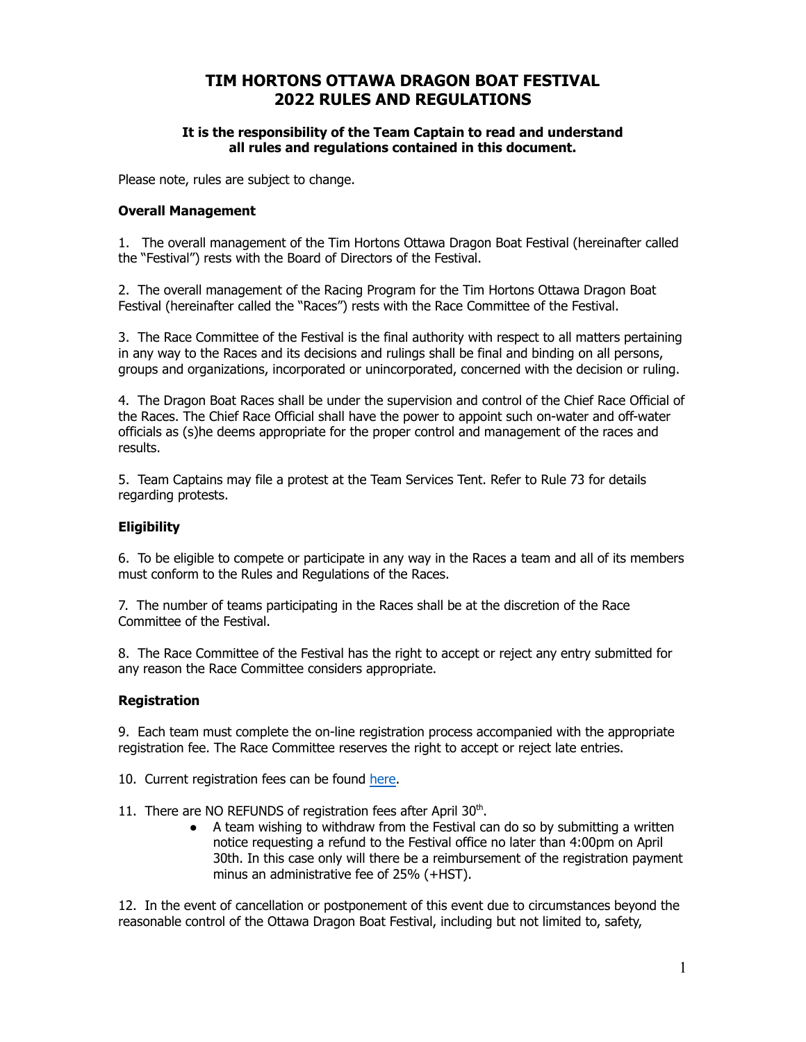# **TIM HORTONS OTTAWA DRAGON BOAT FESTIVAL 2022 RULES AND REGULATIONS**

#### **It is the responsibility of the Team Captain to read and understand all rules and regulations contained in this document.**

Please note, rules are subject to change.

## **Overall Management**

1. The overall management of the Tim Hortons Ottawa Dragon Boat Festival (hereinafter called the "Festival") rests with the Board of Directors of the Festival.

2. The overall management of the Racing Program for the Tim Hortons Ottawa Dragon Boat Festival (hereinafter called the "Races") rests with the Race Committee of the Festival.

3. The Race Committee of the Festival is the final authority with respect to all matters pertaining in any way to the Races and its decisions and rulings shall be final and binding on all persons, groups and organizations, incorporated or unincorporated, concerned with the decision or ruling.

4. The Dragon Boat Races shall be under the supervision and control of the Chief Race Official of the Races. The Chief Race Official shall have the power to appoint such on-water and off-water officials as (s)he deems appropriate for the proper control and management of the races and results.

5. Team Captains may file a protest at the Team Services Tent. Refer to Rule 73 for details regarding protests.

## **Eligibility**

6. To be eligible to compete or participate in any way in the Races a team and all of its members must conform to the Rules and Regulations of the Races.

7. The number of teams participating in the Races shall be at the discretion of the Race Committee of the Festival.

8. The Race Committee of the Festival has the right to accept or reject any entry submitted for any reason the Race Committee considers appropriate.

## **Registration**

9. Each team must complete the on-line registration process accompanied with the appropriate registration fee. The Race Committee reserves the right to accept or reject late entries.

- 10. Current registration fees can be found here.
- 11. There are NO REFUNDS of registration fees after April 30<sup>th</sup>.
	- A team wishing to withdraw from the Festival can do so by submitting a written notice requesting a refund to the Festival office no later than 4:00pm on April 30th. In this case only will there be a reimbursement of the registration payment minus an administrative fee of 25% (+HST).

12. In the event of cancellation or postponement of this event due to circumstances beyond the reasonable control of the Ottawa Dragon Boat Festival, including but not limited to, safety,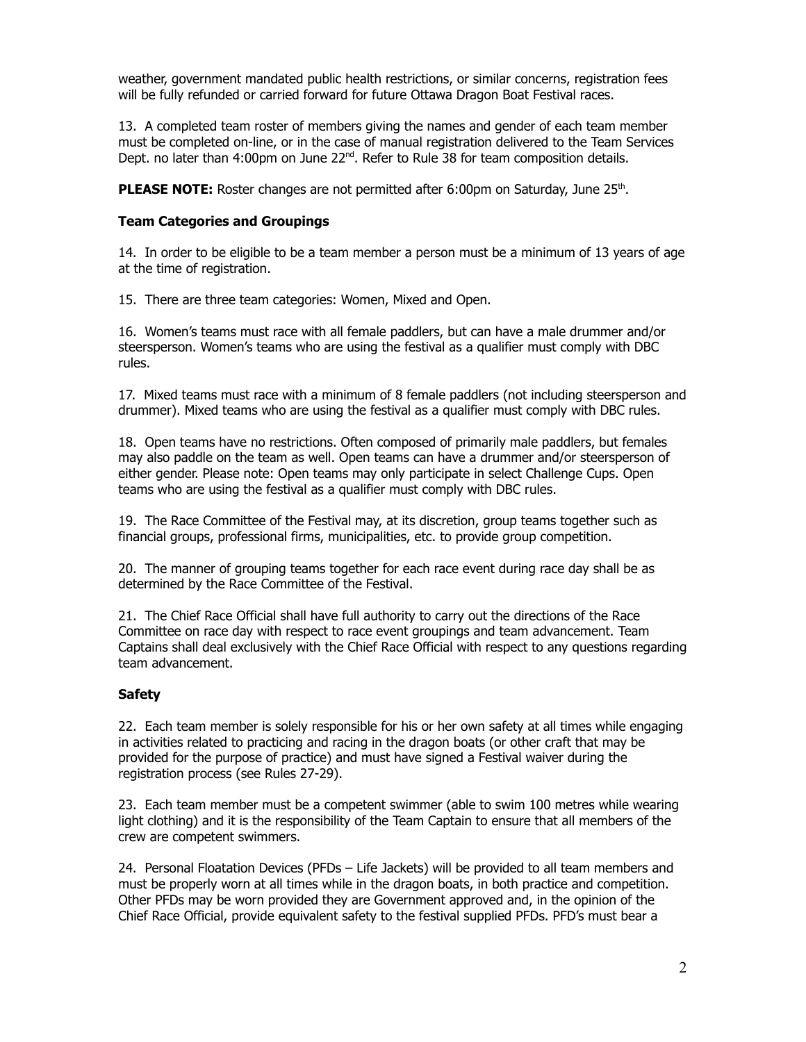weather, government mandated public health restrictions, or similar concerns, registration fees will be fully refunded or carried forward for future Ottawa Dragon Boat Festival races.

13. A completed team roster of members giving the names and gender of each team member must be completed on-line, or in the case of manual registration delivered to the Team Services Dept. no later than  $4:00$ pm on June  $22<sup>nd</sup>$ . Refer to Rule 38 for team composition details.

PLEASE NOTE: Roster changes are not permitted after 6:00pm on Saturday, June 25<sup>th</sup>.

#### **Team Categories and Groupings**

14. In order to be eligible to be a team member a person must be a minimum of 13 years of age at the time of registration.

15. There are three team categories: Women, Mixed and Open.

16. Women's teams must race with all female paddlers, but can have a male drummer and/or steersperson. Women's teams who are using the festival as a qualifier must comply with DBC rules.

17. Mixed teams must race with a minimum of 8 female paddlers (not including steersperson and drummer). Mixed teams who are using the festival as a qualifier must comply with DBC rules.

18. Open teams have no restrictions. Often composed of primarily male paddlers, but females may also paddle on the team as well. Open teams can have a drummer and/or steersperson of either gender. Please note: Open teams may only participate in select Challenge Cups. Open teams who are using the festival as a qualifier must comply with DBC rules.

19. The Race Committee of the Festival may, at its discretion, group teams together such as financial groups, professional firms, municipalities, etc. to provide group competition.

20. The manner of grouping teams together for each race event during race day shall be as determined by the Race Committee of the Festival.

21. The Chief Race Official shall have full authority to carry out the directions of the Race Committee on race day with respect to race event groupings and team advancement. Team Captains shall deal exclusively with the Chief Race Official with respect to any questions regarding team advancement.

## **Safety**

22. Each team member is solely responsible for his or her own safety at all times while engaging in activities related to practicing and racing in the dragon boats (or other craft that may be provided for the purpose of practice) and must have signed a Festival waiver during the registration process (see Rules 27-29).

23. Each team member must be a competent swimmer (able to swim 100 metres while wearing light clothing) and it is the responsibility of the Team Captain to ensure that all members of the crew are competent swimmers.

24. Personal Floatation Devices (PFDs – Life Jackets) will be provided to all team members and must be properly worn at all times while in the dragon boats, in both practice and competition. Other PFDs may be worn provided they are Government approved and, in the opinion of the Chief Race Official, provide equivalent safety to the festival supplied PFDs. PFD's must bear a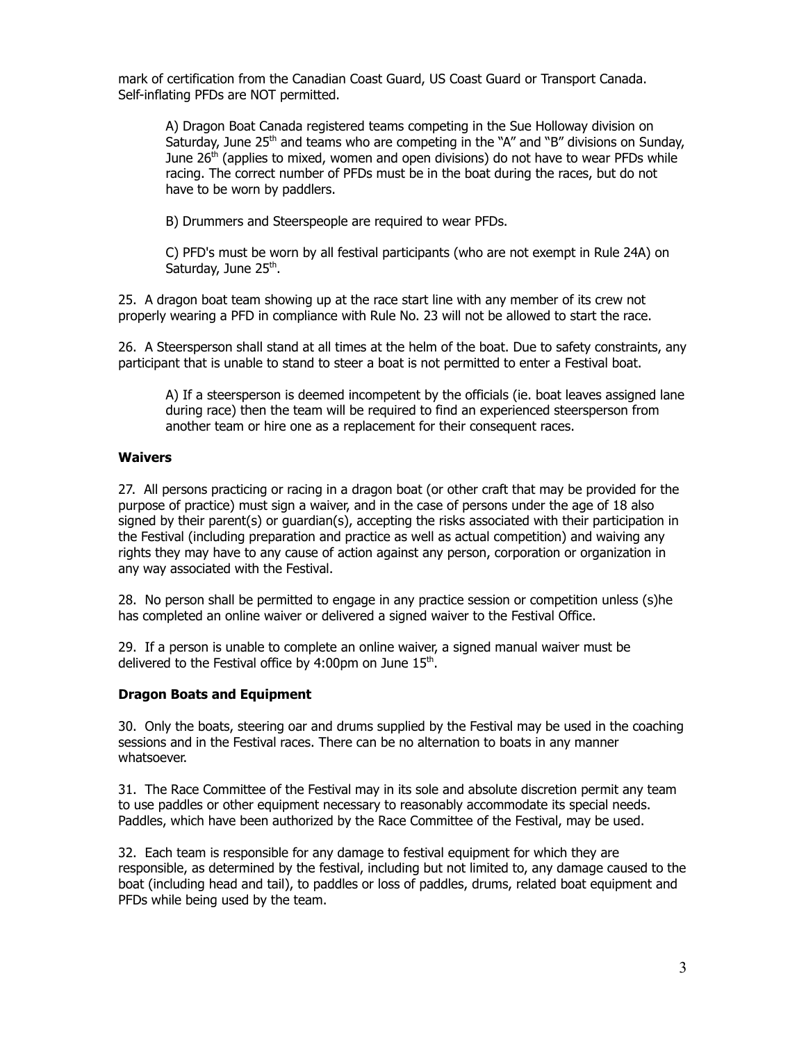mark of certification from the Canadian Coast Guard, US Coast Guard or Transport Canada. Self-inflating PFDs are NOT permitted.

A) Dragon Boat Canada registered teams competing in the Sue Holloway division on Saturday, June 25<sup>th</sup> and teams who are competing in the "A" and "B" divisions on Sunday, June 26<sup>th</sup> (applies to mixed, women and open divisions) do not have to wear PFDs while racing. The correct number of PFDs must be in the boat during the races, but do not have to be worn by paddlers.

B) Drummers and Steerspeople are required to wear PFDs.

C) PFD's must be worn by all festival participants (who are not exempt in Rule 24A) on Saturday, June 25<sup>th</sup>.

25. A dragon boat team showing up at the race start line with any member of its crew not properly wearing a PFD in compliance with Rule No. 23 will not be allowed to start the race.

26. A Steersperson shall stand at all times at the helm of the boat. Due to safety constraints, any participant that is unable to stand to steer a boat is not permitted to enter a Festival boat.

A) If a steersperson is deemed incompetent by the officials (ie. boat leaves assigned lane during race) then the team will be required to find an experienced steersperson from another team or hire one as a replacement for their consequent races.

#### **Waivers**

27. All persons practicing or racing in a dragon boat (or other craft that may be provided for the purpose of practice) must sign a waiver, and in the case of persons under the age of 18 also signed by their parent(s) or guardian(s), accepting the risks associated with their participation in the Festival (including preparation and practice as well as actual competition) and waiving any rights they may have to any cause of action against any person, corporation or organization in any way associated with the Festival.

28. No person shall be permitted to engage in any practice session or competition unless (s)he has completed an online waiver or delivered a signed waiver to the Festival Office.

29. If a person is unable to complete an online waiver, a signed manual waiver must be delivered to the Festival office by 4:00pm on June 15<sup>th</sup>.

#### **Dragon Boats and Equipment**

30. Only the boats, steering oar and drums supplied by the Festival may be used in the coaching sessions and in the Festival races. There can be no alternation to boats in any manner whatsoever.

31. The Race Committee of the Festival may in its sole and absolute discretion permit any team to use paddles or other equipment necessary to reasonably accommodate its special needs. Paddles, which have been authorized by the Race Committee of the Festival, may be used.

32. Each team is responsible for any damage to festival equipment for which they are responsible, as determined by the festival, including but not limited to, any damage caused to the boat (including head and tail), to paddles or loss of paddles, drums, related boat equipment and PFDs while being used by the team.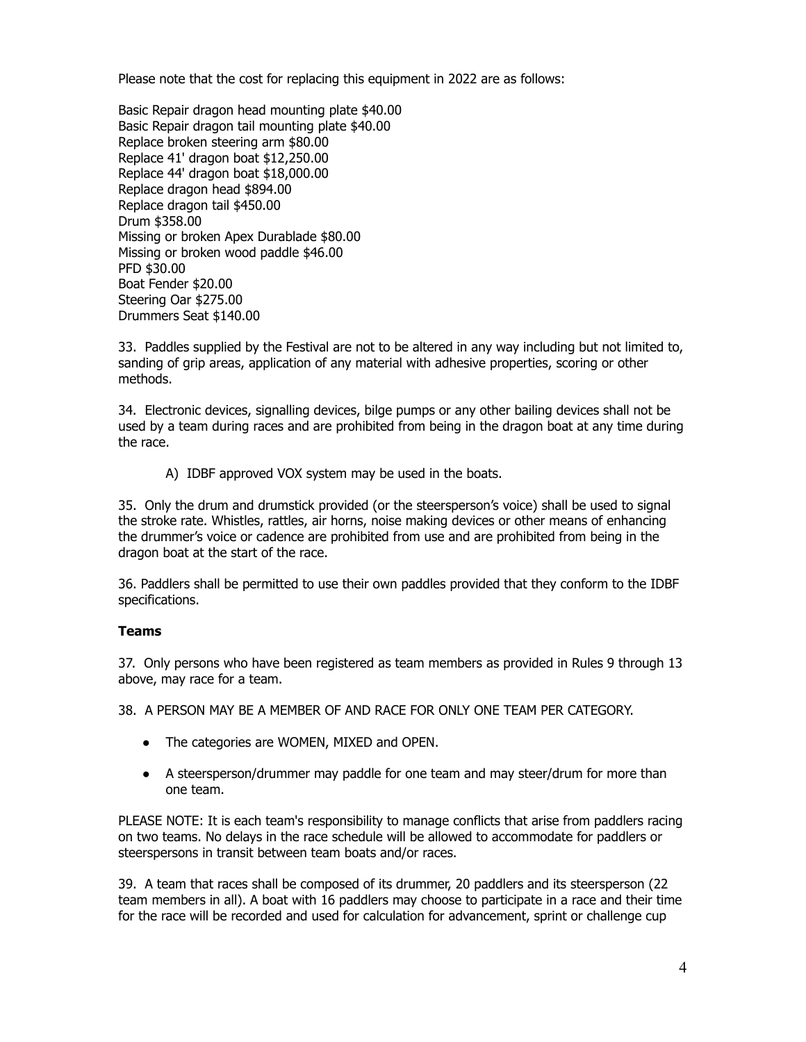Please note that the cost for replacing this equipment in 2022 are as follows:

Basic Repair dragon head mounting plate \$40.00 Basic Repair dragon tail mounting plate \$40.00 Replace broken steering arm \$80.00 Replace 41' dragon boat \$12,250.00 Replace 44' dragon boat \$18,000.00 Replace dragon head \$894.00 Replace dragon tail \$450.00 Drum \$358.00 Missing or broken Apex Durablade \$80.00 Missing or broken wood paddle \$46.00 PFD \$30.00 Boat Fender \$20.00 Steering Oar \$275.00 Drummers Seat \$140.00

33. Paddles supplied by the Festival are not to be altered in any way including but not limited to, sanding of grip areas, application of any material with adhesive properties, scoring or other methods.

34. Electronic devices, signalling devices, bilge pumps or any other bailing devices shall not be used by a team during races and are prohibited from being in the dragon boat at any time during the race.

A) IDBF approved VOX system may be used in the boats.

35. Only the drum and drumstick provided (or the steersperson's voice) shall be used to signal the stroke rate. Whistles, rattles, air horns, noise making devices or other means of enhancing the drummer's voice or cadence are prohibited from use and are prohibited from being in the dragon boat at the start of the race.

36. Paddlers shall be permitted to use their own paddles provided that they conform to the IDBF specifications.

## **Teams**

37. Only persons who have been registered as team members as provided in Rules 9 through 13 above, may race for a team.

38. A PERSON MAY BE A MEMBER OF AND RACE FOR ONLY ONE TEAM PER CATEGORY.

- The categories are WOMEN, MIXED and OPEN.
- A steersperson/drummer may paddle for one team and may steer/drum for more than one team.

PLEASE NOTE: It is each team's responsibility to manage conflicts that arise from paddlers racing on two teams. No delays in the race schedule will be allowed to accommodate for paddlers or steerspersons in transit between team boats and/or races.

39. A team that races shall be composed of its drummer, 20 paddlers and its steersperson (22 team members in all). A boat with 16 paddlers may choose to participate in a race and their time for the race will be recorded and used for calculation for advancement, sprint or challenge cup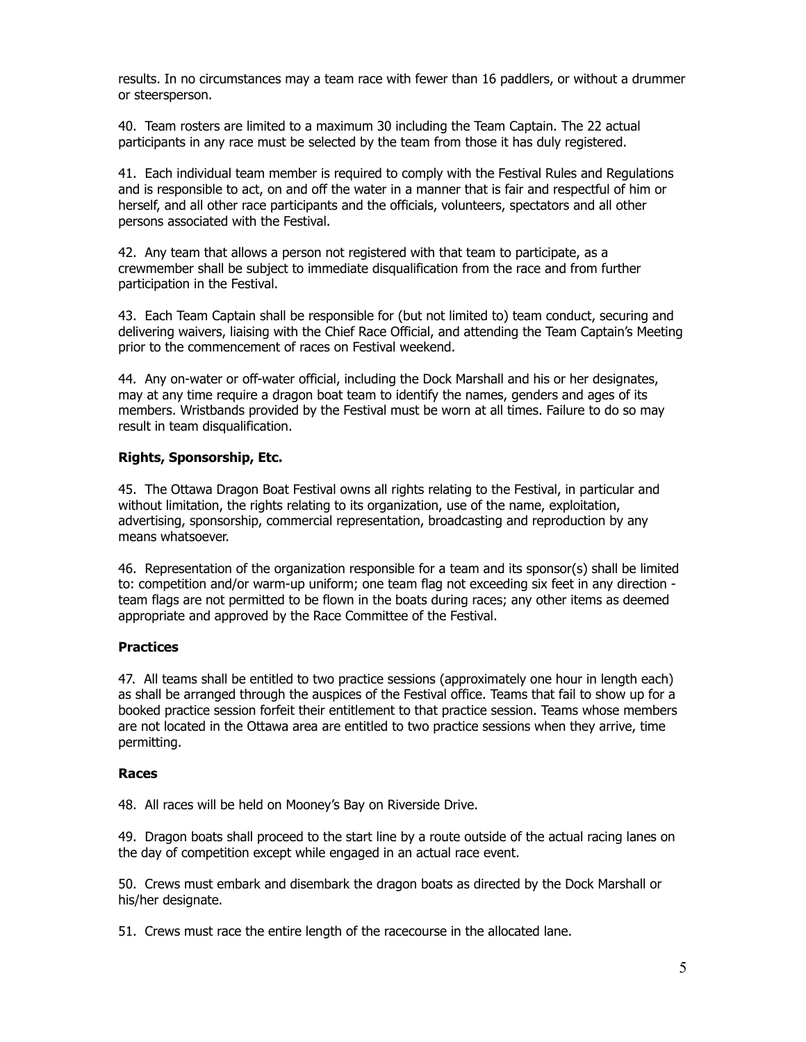results. In no circumstances may a team race with fewer than 16 paddlers, or without a drummer or steersperson.

40. Team rosters are limited to a maximum 30 including the Team Captain. The 22 actual participants in any race must be selected by the team from those it has duly registered.

41. Each individual team member is required to comply with the Festival Rules and Regulations and is responsible to act, on and off the water in a manner that is fair and respectful of him or herself, and all other race participants and the officials, volunteers, spectators and all other persons associated with the Festival.

42. Any team that allows a person not registered with that team to participate, as a crewmember shall be subject to immediate disqualification from the race and from further participation in the Festival.

43. Each Team Captain shall be responsible for (but not limited to) team conduct, securing and delivering waivers, liaising with the Chief Race Official, and attending the Team Captain's Meeting prior to the commencement of races on Festival weekend.

44. Any on-water or off-water official, including the Dock Marshall and his or her designates, may at any time require a dragon boat team to identify the names, genders and ages of its members. Wristbands provided by the Festival must be worn at all times. Failure to do so may result in team disqualification.

#### **Rights, Sponsorship, Etc.**

45. The Ottawa Dragon Boat Festival owns all rights relating to the Festival, in particular and without limitation, the rights relating to its organization, use of the name, exploitation, advertising, sponsorship, commercial representation, broadcasting and reproduction by any means whatsoever.

46. Representation of the organization responsible for a team and its sponsor(s) shall be limited to: competition and/or warm-up uniform; one team flag not exceeding six feet in any direction team flags are not permitted to be flown in the boats during races; any other items as deemed appropriate and approved by the Race Committee of the Festival.

## **Practices**

47. All teams shall be entitled to two practice sessions (approximately one hour in length each) as shall be arranged through the auspices of the Festival office. Teams that fail to show up for a booked practice session forfeit their entitlement to that practice session. Teams whose members are not located in the Ottawa area are entitled to two practice sessions when they arrive, time permitting.

#### **Races**

48. All races will be held on Mooney's Bay on Riverside Drive.

49. Dragon boats shall proceed to the start line by a route outside of the actual racing lanes on the day of competition except while engaged in an actual race event.

50. Crews must embark and disembark the dragon boats as directed by the Dock Marshall or his/her designate.

51. Crews must race the entire length of the racecourse in the allocated lane.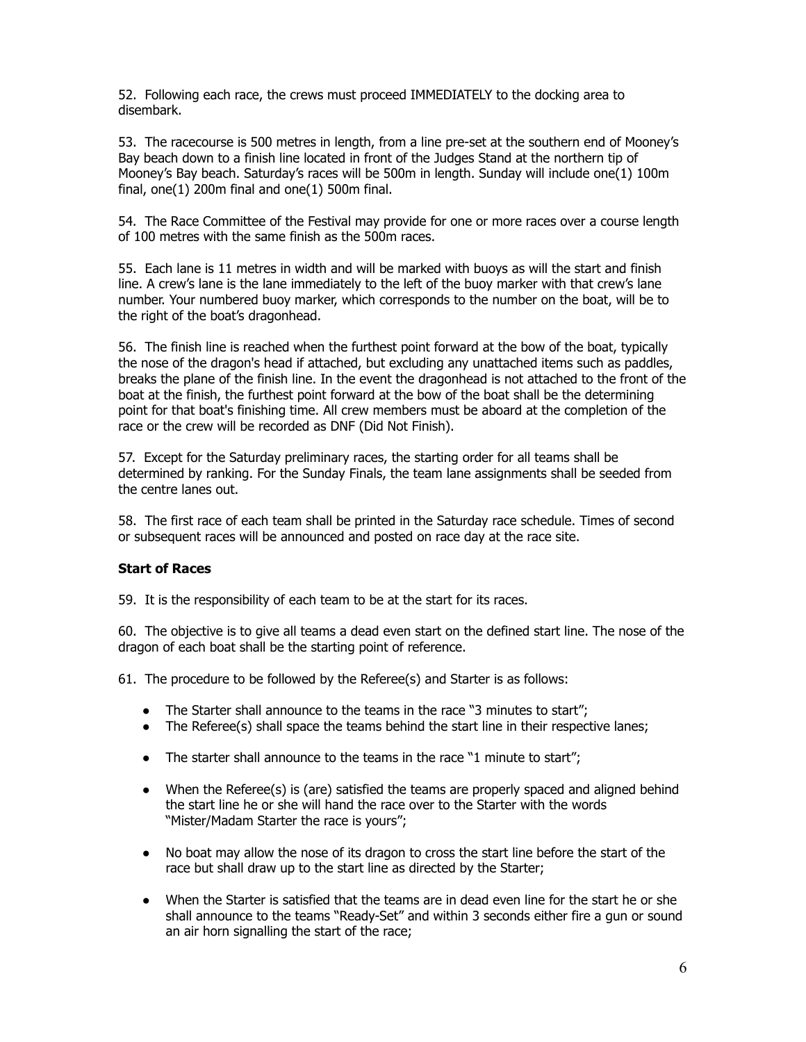52. Following each race, the crews must proceed IMMEDIATELY to the docking area to disembark.

53. The racecourse is 500 metres in length, from a line pre-set at the southern end of Mooney's Bay beach down to a finish line located in front of the Judges Stand at the northern tip of Mooney's Bay beach. Saturday's races will be 500m in length. Sunday will include one(1) 100m final,  $one(1)$  200m final and  $one(1)$  500m final.

54. The Race Committee of the Festival may provide for one or more races over a course length of 100 metres with the same finish as the 500m races.

55. Each lane is 11 metres in width and will be marked with buoys as will the start and finish line. A crew's lane is the lane immediately to the left of the buoy marker with that crew's lane number. Your numbered buoy marker, which corresponds to the number on the boat, will be to the right of the boat's dragonhead.

56. The finish line is reached when the furthest point forward at the bow of the boat, typically the nose of the dragon's head if attached, but excluding any unattached items such as paddles, breaks the plane of the finish line. In the event the dragonhead is not attached to the front of the boat at the finish, the furthest point forward at the bow of the boat shall be the determining point for that boat's finishing time. All crew members must be aboard at the completion of the race or the crew will be recorded as DNF (Did Not Finish).

57. Except for the Saturday preliminary races, the starting order for all teams shall be determined by ranking. For the Sunday Finals, the team lane assignments shall be seeded from the centre lanes out.

58. The first race of each team shall be printed in the Saturday race schedule. Times of second or subsequent races will be announced and posted on race day at the race site.

## **Start of Races**

59. It is the responsibility of each team to be at the start for its races.

60. The objective is to give all teams a dead even start on the defined start line. The nose of the dragon of each boat shall be the starting point of reference.

61. The procedure to be followed by the Referee(s) and Starter is as follows:

- The Starter shall announce to the teams in the race "3 minutes to start";
- The Referee(s) shall space the teams behind the start line in their respective lanes;
- The starter shall announce to the teams in the race "1 minute to start";
- When the Referee(s) is (are) satisfied the teams are properly spaced and aligned behind the start line he or she will hand the race over to the Starter with the words "Mister/Madam Starter the race is yours";
- No boat may allow the nose of its dragon to cross the start line before the start of the race but shall draw up to the start line as directed by the Starter;
- When the Starter is satisfied that the teams are in dead even line for the start he or she shall announce to the teams "Ready-Set" and within 3 seconds either fire a gun or sound an air horn signalling the start of the race;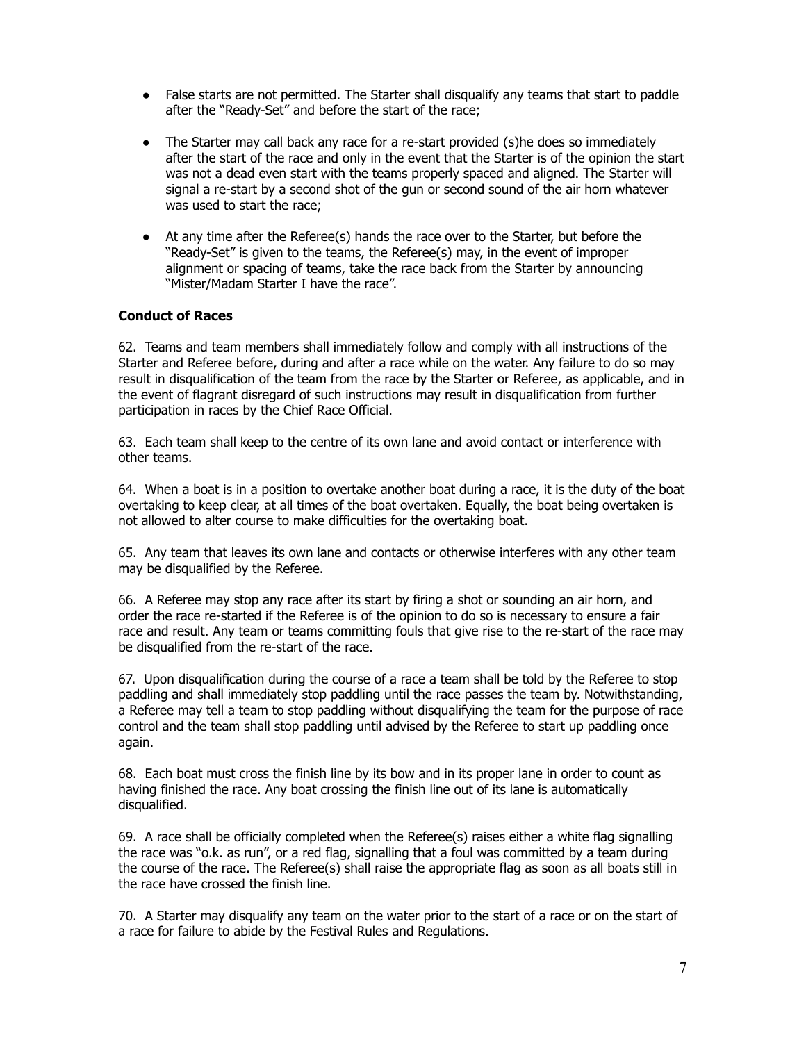- False starts are not permitted. The Starter shall disqualify any teams that start to paddle after the "Ready-Set" and before the start of the race;
- The Starter may call back any race for a re-start provided (s) he does so immediately after the start of the race and only in the event that the Starter is of the opinion the start was not a dead even start with the teams properly spaced and aligned. The Starter will signal a re-start by a second shot of the gun or second sound of the air horn whatever was used to start the race;
- At any time after the Referee(s) hands the race over to the Starter, but before the "Ready-Set" is given to the teams, the Referee(s) may, in the event of improper alignment or spacing of teams, take the race back from the Starter by announcing "Mister/Madam Starter I have the race".

## **Conduct of Races**

62. Teams and team members shall immediately follow and comply with all instructions of the Starter and Referee before, during and after a race while on the water. Any failure to do so may result in disqualification of the team from the race by the Starter or Referee, as applicable, and in the event of flagrant disregard of such instructions may result in disqualification from further participation in races by the Chief Race Official.

63. Each team shall keep to the centre of its own lane and avoid contact or interference with other teams.

64. When a boat is in a position to overtake another boat during a race, it is the duty of the boat overtaking to keep clear, at all times of the boat overtaken. Equally, the boat being overtaken is not allowed to alter course to make difficulties for the overtaking boat.

65. Any team that leaves its own lane and contacts or otherwise interferes with any other team may be disqualified by the Referee.

66. A Referee may stop any race after its start by firing a shot or sounding an air horn, and order the race re-started if the Referee is of the opinion to do so is necessary to ensure a fair race and result. Any team or teams committing fouls that give rise to the re-start of the race may be disqualified from the re-start of the race.

67. Upon disqualification during the course of a race a team shall be told by the Referee to stop paddling and shall immediately stop paddling until the race passes the team by. Notwithstanding, a Referee may tell a team to stop paddling without disqualifying the team for the purpose of race control and the team shall stop paddling until advised by the Referee to start up paddling once again.

68. Each boat must cross the finish line by its bow and in its proper lane in order to count as having finished the race. Any boat crossing the finish line out of its lane is automatically disqualified.

69. A race shall be officially completed when the Referee(s) raises either a white flag signalling the race was "o.k. as run", or a red flag, signalling that a foul was committed by a team during the course of the race. The Referee(s) shall raise the appropriate flag as soon as all boats still in the race have crossed the finish line.

70. A Starter may disqualify any team on the water prior to the start of a race or on the start of a race for failure to abide by the Festival Rules and Regulations.